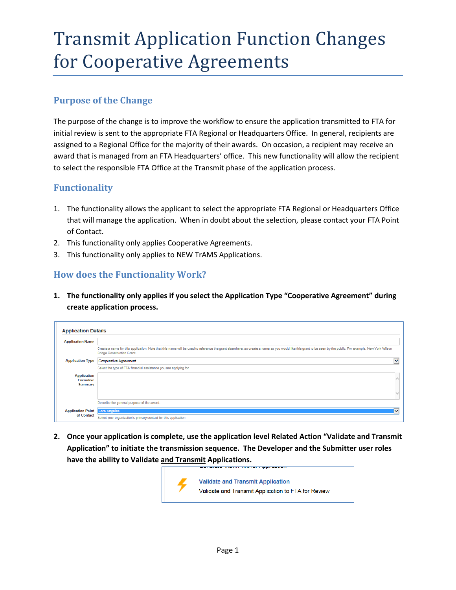### Transmit Application Function Changes for Cooperative Agreements

### **Purpose of the Change**

The purpose of the change is to improve the workflow to ensure the application transmitted to FTA for initial review is sent to the appropriate FTA Regional or Headquarters Office. In general, recipients are assigned to a Regional Office for the majority of their awards. On occasion, a recipient may receive an award that is managed from an FTA Headquarters' office. This new functionality will allow the recipient to select the responsible FTA Office at the Transmit phase of the application process.

#### **Functionality**

- 1. The functionality allows the applicant to select the appropriate FTA Regional or Headquarters Office that will manage the application. When in doubt about the selection, please contact your FTA Point of Contact.
- 2. This functionality only applies Cooperative Agreements.
- 3. This functionality only applies to NEW TrAMS Applications.

### **How does the Functionality Work?**

**1. The functionality only applies if you select the Application Type "Cooperative Agreement" during create application process.**

| <b>Application Name</b>                                  |                                                                                                                                                                                                                                                  |              |
|----------------------------------------------------------|--------------------------------------------------------------------------------------------------------------------------------------------------------------------------------------------------------------------------------------------------|--------------|
|                                                          | Create a name for this application. Note that this name will be used to reference the grant elsewhere, so create a name as you would like this grant to be seen by the public. For example, New York Wilson<br><b>Bridge Construction Grant.</b> |              |
| <b>Application Type</b>                                  | <b>Cooperative Agreement</b>                                                                                                                                                                                                                     | $\check{ }$  |
|                                                          | Select the type of FTA financial assistance you are applying for                                                                                                                                                                                 |              |
| <b>Application</b><br><b>Executive</b><br><b>Summary</b> |                                                                                                                                                                                                                                                  |              |
|                                                          |                                                                                                                                                                                                                                                  |              |
|                                                          | Describe the general purpose of the award.                                                                                                                                                                                                       |              |
| <b>Application Point Lora Angeles</b>                    |                                                                                                                                                                                                                                                  | $\checkmark$ |
| of Contact                                               | Select your organization's primary contact for this application                                                                                                                                                                                  |              |

**2. Once your application is complete, use the application level Related Action "Validate and Transmit Application" to initiate the transmission sequence. The Developer and the Submitter user roles have the ability to Validate and Transmit Applications.** 

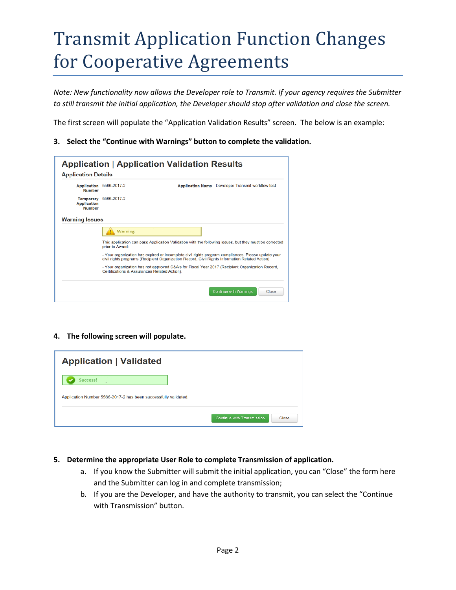# Transmit Application Function Changes for Cooperative Agreements

*Note: New functionality now allows the Developer role to Transmit. If your agency requires the Submitter to still transmit the initial application, the Developer should stop after validation and close the screen.*

The first screen will populate the "Application Validation Results" screen. The below is an example:

**3. Select the "Continue with Warnings" button to complete the validation.**

| <b>Number</b>                                           | Application 5566-2017-2                      | Application Name Developer Transmit workflow test                                                                                                                                                    |
|---------------------------------------------------------|----------------------------------------------|------------------------------------------------------------------------------------------------------------------------------------------------------------------------------------------------------|
| <b>Temporary</b><br><b>Application</b><br><b>Number</b> | 5566-2017-2                                  |                                                                                                                                                                                                      |
| <b>Warning Issues</b>                                   |                                              |                                                                                                                                                                                                      |
|                                                         | <b>Warning</b>                               |                                                                                                                                                                                                      |
|                                                         | prior to Award:                              | This application can pass Application Validation with the following issues, but they must be corrected                                                                                               |
|                                                         |                                              | - Your organization has expired or incomplete civil rights program compliances. Please update your<br>civil rights programs (Recipient Organization Record, Civil Rights Information Related Action) |
|                                                         | Certifications & Assurances Related Action). | - Your organization has not approved C&A's for Fiscal Year 2017 (Recipient Organization Record,                                                                                                      |

**4. The following screen will populate.** 

| <b>Application   Validated</b>                                  |                                     |
|-----------------------------------------------------------------|-------------------------------------|
| Success!                                                        |                                     |
| Application Number 5566-2017-2 has been successfully validated. |                                     |
|                                                                 | Continue with Transmission<br>Close |

- **5. Determine the appropriate User Role to complete Transmission of application.**
	- a. If you know the Submitter will submit the initial application, you can "Close" the form here and the Submitter can log in and complete transmission;
	- b. If you are the Developer, and have the authority to transmit, you can select the "Continue with Transmission" button.